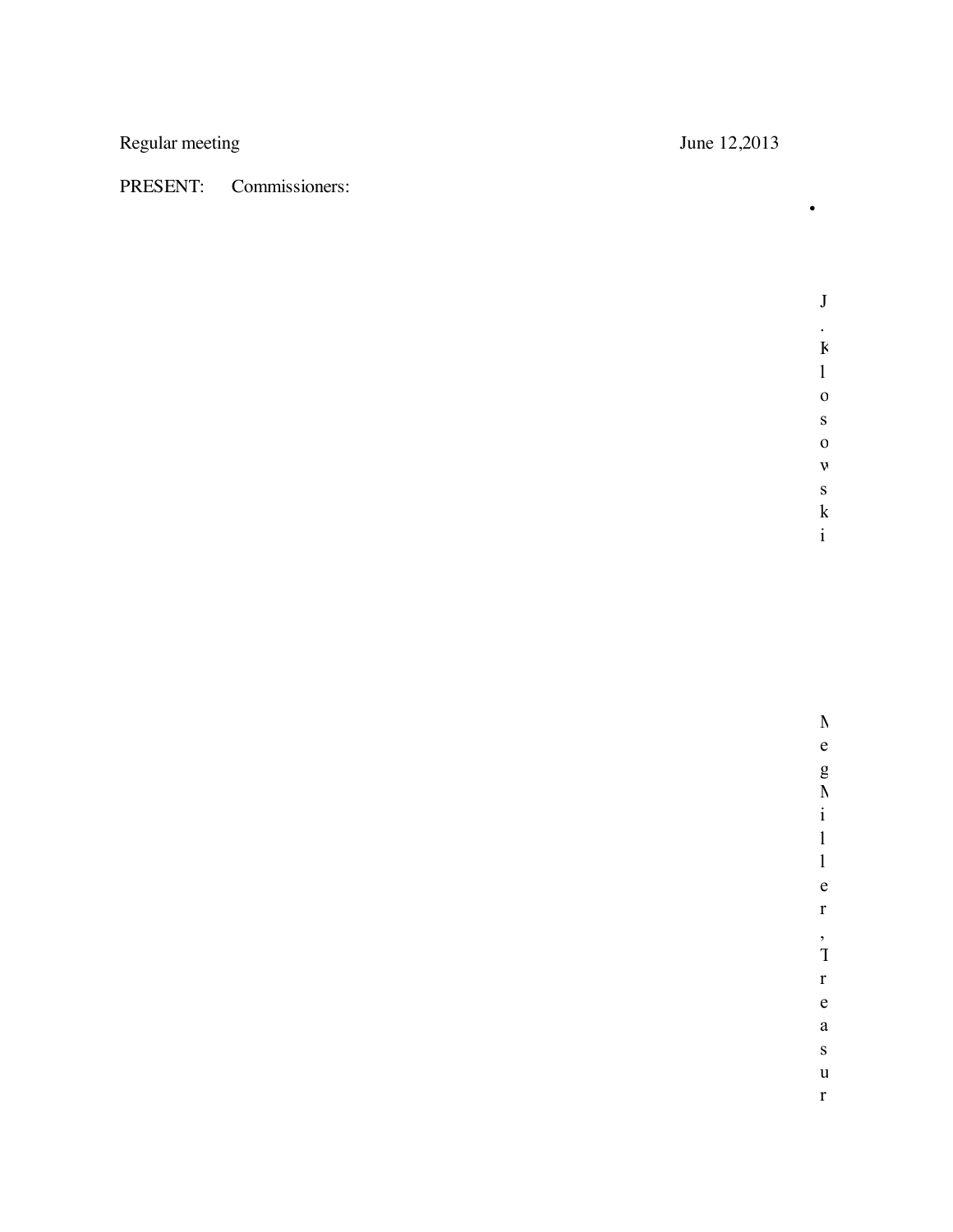Regular meeting June 12,2013

## PRESENT: Commissioners:

•

J . K l o s o w s k i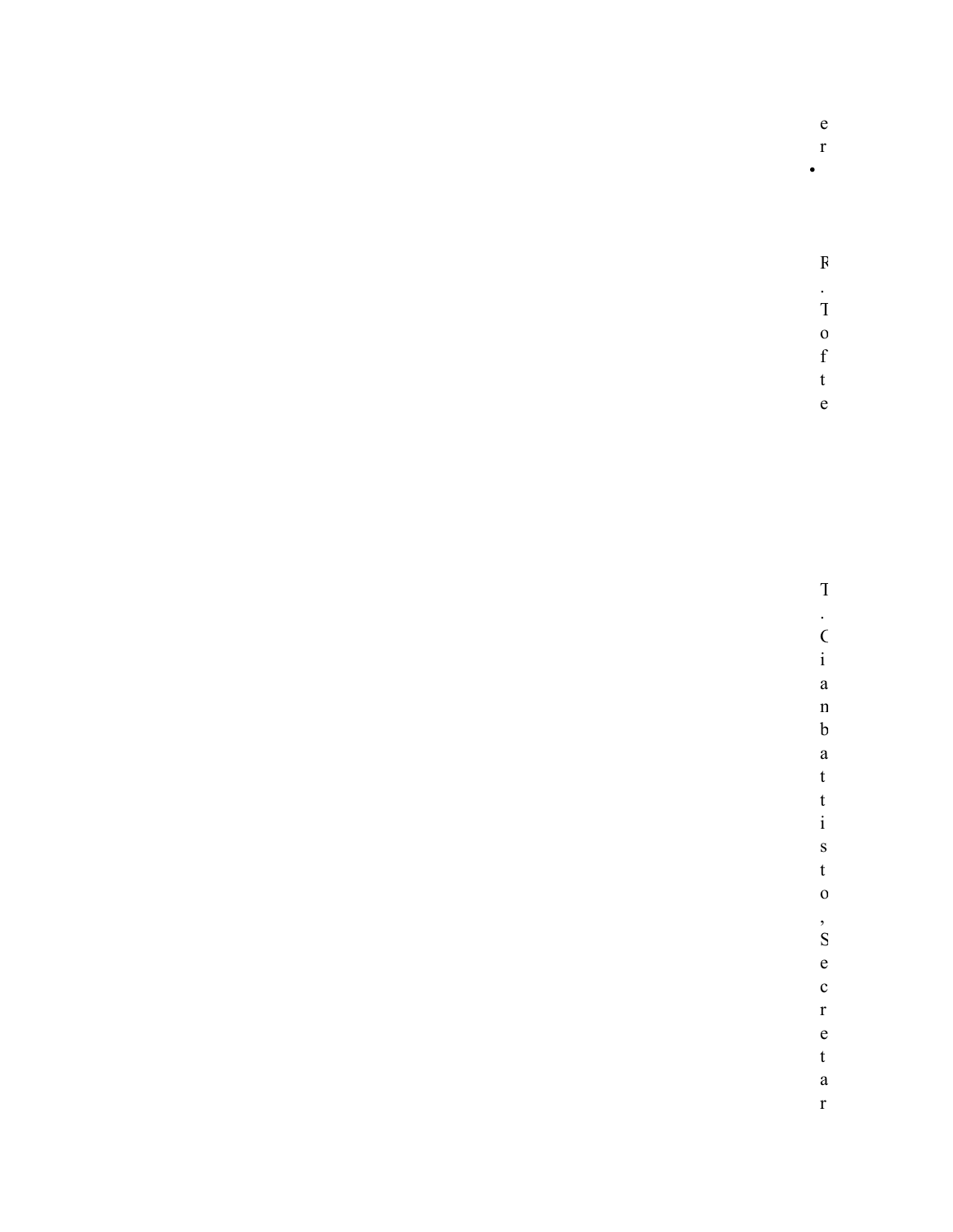| $\mathop{\rm e}\nolimits$ |
|---------------------------|
| $\mathbf{r}$              |
| $\bullet$                 |
|                           |
|                           |
|                           |
| $\mathbf{F}$              |
|                           |
| $\frac{1}{1}$             |
| $\mathbf{O}$              |
| $\mathbf f$               |
| $\mathbf t$               |
| $\mathbf{e}$              |
|                           |
|                           |
|                           |
|                           |
|                           |
|                           |
|                           |
| $\mathbf T$               |
|                           |
| $\frac{1}{i}$             |
|                           |
| $\mathbf{a}$              |
| $\mathbf n$               |
| $\boldsymbol{\mathrm{b}}$ |
| $\mathbf{a}$              |
| $\mathbf t$               |
| $\mathbf t$               |
| $\mathbf{i}$              |
| $\mathbf{s}$              |
| $\mathbf t$               |
| $\mathbf 0$               |
|                           |
| $\frac{1}{S}$             |
| $\mathbf e$               |
| $\mathbf c$               |
| $\mathbf{r}$              |
| $\mathbf{e}$              |
| $\mathbf t$               |
| $\mathbf{a}$              |
|                           |

 $\mathbf{r}$